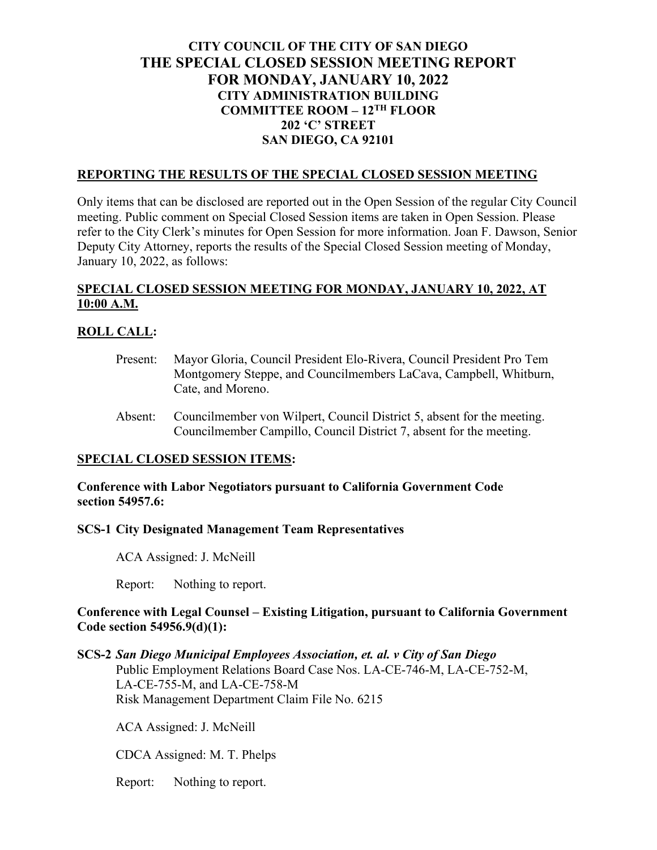# **CITY COUNCIL OF THE CITY OF SAN DIEGO THE SPECIAL CLOSED SESSION MEETING REPORT FOR MONDAY, JANUARY 10, 2022 CITY ADMINISTRATION BUILDING COMMITTEE ROOM – 12TH FLOOR 202 'C' STREET SAN DIEGO, CA 92101**

#### **REPORTING THE RESULTS OF THE SPECIAL CLOSED SESSION MEETING**

Only items that can be disclosed are reported out in the Open Session of the regular City Council meeting. Public comment on Special Closed Session items are taken in Open Session. Please refer to the City Clerk's minutes for Open Session for more information. Joan F. Dawson, Senior Deputy City Attorney, reports the results of the Special Closed Session meeting of Monday, January 10, 2022, as follows:

## **SPECIAL CLOSED SESSION MEETING FOR MONDAY, JANUARY 10, 2022, AT 10:00 A.M.**

### **ROLL CALL:**

- Present: Mayor Gloria, Council President Elo-Rivera, Council President Pro Tem Montgomery Steppe, and Councilmembers LaCava, Campbell, Whitburn, Cate, and Moreno.
- Absent: Councilmember von Wilpert, Council District 5, absent for the meeting. Councilmember Campillo, Council District 7, absent for the meeting.

### **SPECIAL CLOSED SESSION ITEMS:**

**Conference with Labor Negotiators pursuant to California Government Code section 54957.6:**

#### **SCS-1 City Designated Management Team Representatives**

ACA Assigned: J. McNeill

Report: Nothing to report.

### **Conference with Legal Counsel – Existing Litigation, pursuant to California Government Code section 54956.9(d)(1):**

**SCS-2** *San Diego Municipal Employees Association, et. al. v City of San Diego* Public Employment Relations Board Case Nos. LA-CE-746-M, LA-CE-752-M, LA-CE-755-M, and LA-CE-758-M Risk Management Department Claim File No. 6215

ACA Assigned: J. McNeill

CDCA Assigned: M. T. Phelps

Report: Nothing to report.